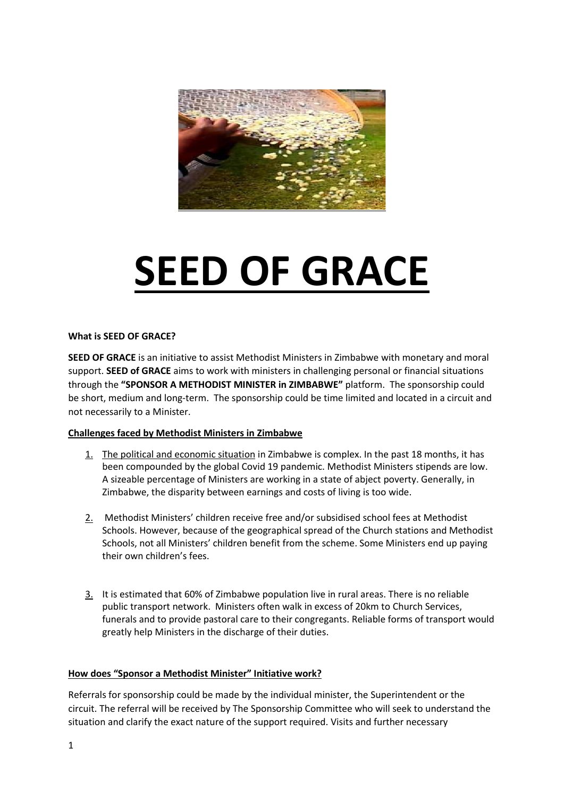

# **SEED OF GRACE**

#### **What is SEED OF GRACE?**

**SEED OF GRACE** is an initiative to assist Methodist Ministers in Zimbabwe with monetary and moral support. **SEED of GRACE** aims to work with ministers in challenging personal or financial situations through the **"SPONSOR A METHODIST MINISTER in ZIMBABWE"** platform. The sponsorship could be short, medium and long-term. The sponsorship could be time limited and located in a circuit and not necessarily to a Minister.

## **Challenges faced by Methodist Ministers in Zimbabwe**

- 1. The political and economic situation in Zimbabwe is complex. In the past 18 months, it has been compounded by the global Covid 19 pandemic. Methodist Ministers stipends are low. A sizeable percentage of Ministers are working in a state of abject poverty. Generally, in Zimbabwe, the disparity between earnings and costs of living is too wide.
- 2. Methodist Ministers' children receive free and/or subsidised school fees at Methodist Schools. However, because of the geographical spread of the Church stations and Methodist Schools, not all Ministers' children benefit from the scheme. Some Ministers end up paying their own children's fees.
- 3. It is estimated that 60% of Zimbabwe population live in rural areas. There is no reliable public transport network. Ministers often walk in excess of 20km to Church Services, funerals and to provide pastoral care to their congregants. Reliable forms of transport would greatly help Ministers in the discharge of their duties.

## **How does "Sponsor a Methodist Minister" Initiative work?**

Referrals for sponsorship could be made by the individual minister, the Superintendent or the circuit. The referral will be received by The Sponsorship Committee who will seek to understand the situation and clarify the exact nature of the support required. Visits and further necessary